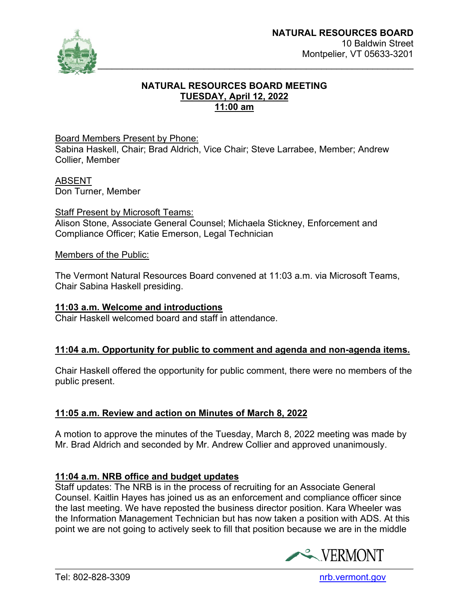

#### **NATURAL RESOURCES BOARD MEETING TUESDAY, April 12, 2022 11:00 am**

#### Board Members Present by Phone:

Sabina Haskell, Chair; Brad Aldrich, Vice Chair; Steve Larrabee, Member; Andrew Collier, Member

# ABSENT

Don Turner, Member

Staff Present by Microsoft Teams: Alison Stone, Associate General Counsel; Michaela Stickney, Enforcement and Compliance Officer; Katie Emerson, Legal Technician

#### Members of the Public:

The Vermont Natural Resources Board convened at 11:03 a.m. via Microsoft Teams, Chair Sabina Haskell presiding.

#### **11:03 a.m. Welcome and introductions**

Chair Haskell welcomed board and staff in attendance.

### **11:04 a.m. Opportunity for public to comment and agenda and non-agenda items.**

Chair Haskell offered the opportunity for public comment, there were no members of the public present.

### **11:05 a.m. Review and action on Minutes of March 8, 2022**

A motion to approve the minutes of the Tuesday, March 8, 2022 meeting was made by Mr. Brad Aldrich and seconded by Mr. Andrew Collier and approved unanimously.

### **11:04 a.m. NRB office and budget updates**

Staff updates: The NRB is in the process of recruiting for an Associate General Counsel. Kaitlin Hayes has joined us as an enforcement and compliance officer since the last meeting. We have reposted the business director position. Kara Wheeler was the Information Management Technician but has now taken a position with ADS. At this point we are not going to actively seek to fill that position because we are in the middle

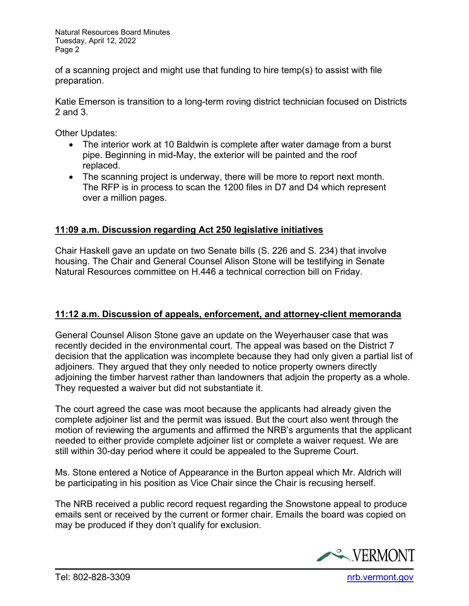Natural Resources Board Minutes Tuesday, April 12, 2022 Page 2

of a scanning project and might use that funding to hire temp(s) to assist with file preparation.

Katie Emerson is transition to a long-term roving district technician focused on Districts 2 and 3.

Other Updates:

- The interior work at 10 Baldwin is complete after water damage from a burst pipe. Beginning in mid-May, the exterior will be painted and the roof replaced.
- The scanning project is underway, there will be more to report next month. The RFP is in process to scan the 1200 files in D7 and D4 which represent over a million pages.

## **11:09 a.m. Discussion regarding Act 250 legislative initiatives**

Chair Haskell gave an update on two Senate bills (S. 226 and S. 234) that involve housing. The Chair and General Counsel Alison Stone will be testifying in Senate Natural Resources committee on H.446 a technical correction bill on Friday.

### **11:12 a.m. Discussion of appeals, enforcement, and attorney-client memoranda**

General Counsel Alison Stone gave an update on the Weyerhauser case that was recently decided in the environmental court. The appeal was based on the District 7 decision that the application was incomplete because they had only given a partial list of adjoiners. They argued that they only needed to notice property owners directly adjoining the timber harvest rather than landowners that adjoin the property as a whole. They requested a waiver but did not substantiate it.

The court agreed the case was moot because the applicants had already given the complete adjoiner list and the permit was issued. But the court also went through the motion of reviewing the arguments and affirmed the NRB's arguments that the applicant needed to either provide complete adjoiner list or complete a waiver request. We are still within 30-day period where it could be appealed to the Supreme Court.

Ms. Stone entered a Notice of Appearance in the Burton appeal which Mr. Aldrich will be participating in his position as Vice Chair since the Chair is recusing herself.

The NRB received a public record request regarding the Snowstone appeal to produce emails sent or received by the current or former chair. Emails the board was copied on may be produced if they don't qualify for exclusion.